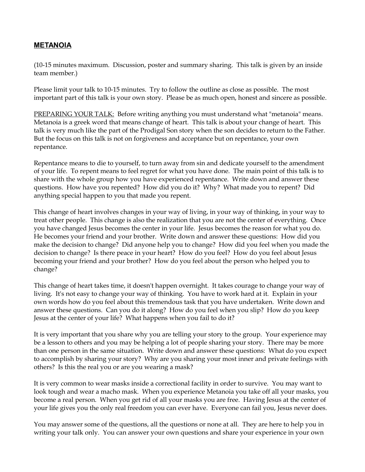## **METANOIA**

(10-15 minutes maximum. Discussion, poster and summary sharing. This talk is given by an inside team member.)

Please limit your talk to 10-15 minutes. Try to follow the outline as close as possible. The most important part of this talk is your own story. Please be as much open, honest and sincere as possible.

PREPARING YOUR TALK: Before writing anything you must understand what "metanoia" means. Metanoia is a greek word that means change of heart. This talk is about your change of heart. This talk is very much like the part of the Prodigal Son story when the son decides to return to the Father. But the focus on this talk is not on forgiveness and acceptance but on repentance, your own repentance.

Repentance means to die to yourself, to turn away from sin and dedicate yourself to the amendment of your life. To repent means to feel regret for what you have done. The main point of this talk is to share with the whole group how you have experienced repentance. Write down and answer these questions. How have you repented? How did you do it? Why? What made you to repent? Did anything special happen to you that made you repent.

This change of heart involves changes in your way of living, in your way of thinking, in your way to treat other people. This change is also the realization that you are not the center of everything. Once you have changed Jesus becomes the center in your life. Jesus becomes the reason for what you do. He becomes your friend and your brother. Write down and answer these questions: How did you make the decision to change? Did anyone help you to change? How did you feel when you made the decision to change? Is there peace in your heart? How do you feel? How do you feel about Jesus becoming your friend and your brother? How do you feel about the person who helped you to change?

This change of heart takes time, it doesn't happen overnight. It takes courage to change your way of living. It's not easy to change your way of thinking. You have to work hard at it. Explain in your own words how do you feel about this tremendous task that you have undertaken. Write down and answer these questions. Can you do it along? How do you feel when you slip? How do you keep Jesus at the center of your life? What happens when you fail to do it?

It is very important that you share why you are telling your story to the group. Your experience may be a lesson to others and you may be helping a lot of people sharing your story. There may be more than one person in the same situation. Write down and answer these questions: What do you expect to accomplish by sharing your story? Why are you sharing your most inner and private feelings with others? Is this the real you or are you wearing a mask?

It is very common to wear masks inside a correctional facility in order to survive. You may want to look tough and wear a macho mask. When you experience Metanoia you take off all your masks, you become a real person. When you get rid of all your masks you are free. Having Jesus at the center of your life gives you the only real freedom you can ever have. Everyone can fail you, Jesus never does.

You may answer some of the questions, all the questions or none at all. They are here to help you in writing your talk only. You can answer your own questions and share your experience in your own